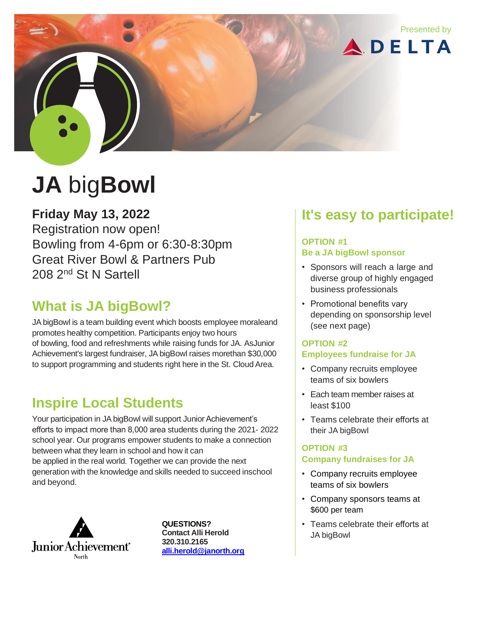

# **JA** big**Bowl**

**Friday May 13, 2022**

Registration now open! Bowling from 4-6pm or 6:30-8:30pm Great River Bowl & Partners Pub 208 2nd St N Sartell

## **What is JA bigBowl?**

JA bigBowl is a team building event which boosts employee moraleand promotes healthy competition. Participants enjoy two hours of bowling, food and refreshments while raising funds for JA. AsJunior Achievement's largest fundraiser, JAbigBowl raises morethan \$30,000 to support programming and students right here in the St. Cloud Area.

## **Inspire Local Students**

Your participation in JA bigBowl will support Junior Achievement's efforts to impact more than 8,000 area students during the 2021- 2022 school year. Our programs empower students to make a connection between what they learn in school and how it can be applied in the real world. Together we can provide the next generation with the knowledge and skills needed to succeed inschool and beyond.



**QUESTIONS? Contact Alli Herold 320.310.2165 [alli.herold@janorth.org](mailto:alli.herold@janorth.org)**

## **It's easy to participate!**

#### **OPTION #1 Be a JA bigBowl sponsor**

- Sponsors will reach a large and diverse group of highly engaged business professionals
- Promotional benefits vary depending on sponsorship level (see next page)

#### **OPTION #2 Employees fundraise for JA**

- Company recruits employee teams of six bowlers
- Each team member raises at least \$100
- Teams celebrate their efforts at their JA bigBowl

#### **OPTION #3 Company fundraises for JA**

- Company recruits employee teams of six bowlers
- Company sponsors teams at \$600 per team
- Teams celebrate their efforts at JA bigBowl